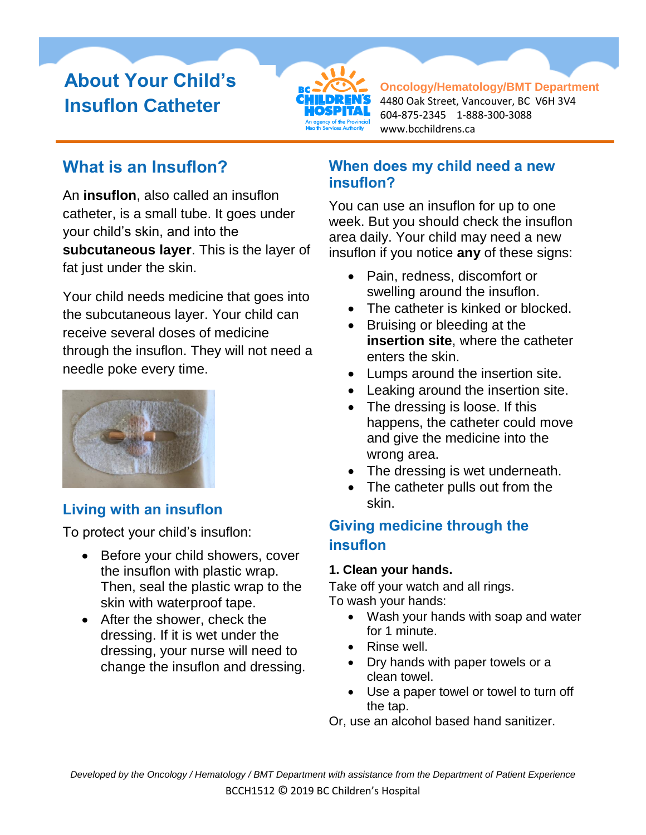# **About Your Child's Insuflon Catheter**



**Oncology/Hematology/BMT Department** 4480 Oak Street, Vancouver, BC V6H 3V4 604-875-2345 1-888-300-3088 www.bcchildrens.ca

# **What is an Insuflon?**

An **insuflon**, also called an insuflon catheter, is a small tube. It goes under your child's skin, and into the **subcutaneous layer**. This is the layer of fat just under the skin.

Your child needs medicine that goes into the subcutaneous layer. Your child can receive several doses of medicine through the insuflon. They will not need a needle poke every time.



## **Living with an insuflon**

To protect your child's insuflon:

- Before your child showers, cover the insuflon with plastic wrap. Then, seal the plastic wrap to the skin with waterproof tape.
- After the shower, check the dressing. If it is wet under the dressing, your nurse will need to change the insuflon and dressing.

### **When does my child need a new insuflon?**

You can use an insuflon for up to one week. But you should check the insuflon area daily. Your child may need a new insuflon if you notice **any** of these signs:

- Pain, redness, discomfort or swelling around the insuflon.
- The catheter is kinked or blocked.
- Bruising or bleeding at the **insertion site**, where the catheter enters the skin.
- Lumps around the insertion site.
- Leaking around the insertion site.
- The dressing is loose. If this happens, the catheter could move and give the medicine into the wrong area.
- The dressing is wet underneath.
- The catheter pulls out from the skin.

## **Giving medicine through the insuflon**

#### **1. Clean your hands.**

Take off your watch and all rings. To wash your hands:

- Wash your hands with soap and water for 1 minute.
- Rinse well.
- Dry hands with paper towels or a clean towel.
- Use a paper towel or towel to turn off the tap.

Or, use an alcohol based hand sanitizer.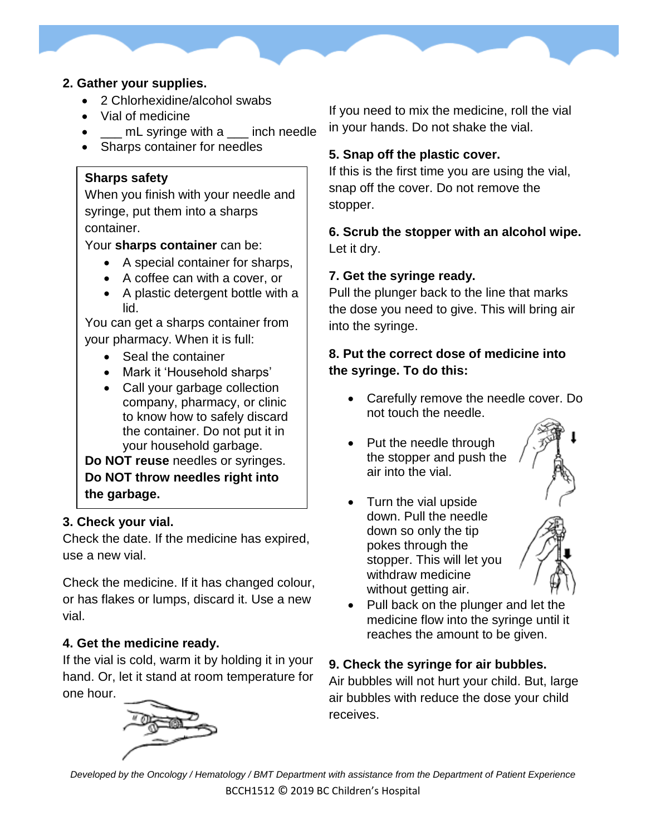#### **2. Gather your supplies.**

- 2 Chlorhexidine/alcohol swabs
- Vial of medicine
- **If**  $\Box$  mL syringe with a  $\Box$  inch needle
- Sharps container for needles

#### **Sharps safety**

When you finish with your needle and syringe, put them into a sharps container.

Your **sharps container** can be:

- A special container for sharps,
- A coffee can with a cover, or
- A plastic detergent bottle with a lid.

You can get a sharps container from your pharmacy. When it is full:

- Seal the container
- Mark it 'Household sharps'
- Call your garbage collection company, pharmacy, or clinic to know how to safely discard the container. Do not put it in your household garbage.

**Do NOT reuse** needles or syringes. **Do NOT throw needles right into the garbage.** 

#### **3. Check your vial.**

Check the date. If the medicine has expired, use a new vial.

Check the medicine. If it has changed colour, or has flakes or lumps, discard it. Use a new vial.

#### **4. Get the medicine ready.**

If the vial is cold, warm it by holding it in your hand. Or, let it stand at room temperature for one hour.



If you need to mix the medicine, roll the vial in your hands. Do not shake the vial.

#### **5. Snap off the plastic cover.**

If this is the first time you are using the vial, snap off the cover. Do not remove the stopper.

**6. Scrub the stopper with an alcohol wipe.** Let it dry.

#### **7. Get the syringe ready.**

Pull the plunger back to the line that marks the dose you need to give. This will bring air into the syringe.

#### **8. Put the correct dose of medicine into the syringe. To do this:**

- Carefully remove the needle cover. Do not touch the needle.
- Put the needle through the stopper and push the air into the vial.



• Turn the vial upside down. Pull the needle down so only the tip pokes through the stopper. This will let you withdraw medicine without getting air.



• Pull back on the plunger and let the medicine flow into the syringe until it reaches the amount to be given.

#### **9. Check the syringe for air bubbles.**

Air bubbles will not hurt your child. But, large air bubbles with reduce the dose your child receives.

*Developed by the Oncology / Hematology / BMT Department with assistance from the Department of Patient Experience* BCCH1512 © 2019 BC Children's Hospital